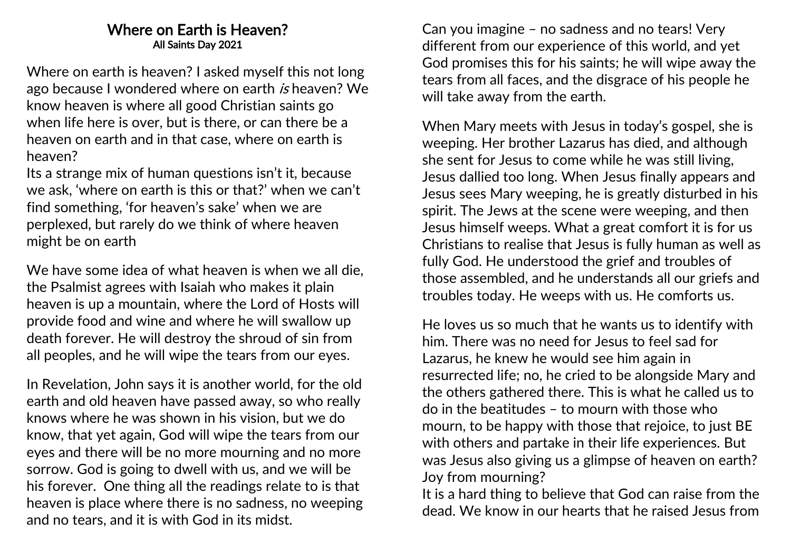## Where on Earth is Heaven? All Saints Day 2021

Where on earth is heaven? I asked myself this not long ago because I wondered where on earth is heaven? We know heaven is where all good Christian saints go when life here is over, but is there, or can there be a heaven on earth and in that case, where on earth is heaven?

Its a strange mix of human questions isn't it, because we ask, 'where on earth is this or that?' when we can't find something, 'for heaven's sake' when we are perplexed, but rarely do we think of where heaven might be on earth

We have some idea of what heaven is when we all die, the Psalmist agrees with Isaiah who makes it plain heaven is up a mountain, where the Lord of Hosts will provide food and wine and where he will swallow up death forever. He will destroy the shroud of sin from all peoples, and he will wipe the tears from our eyes.

In Revelation, John says it is another world, for the old earth and old heaven have passed away, so who really knows where he was shown in his vision, but we do know, that yet again, God will wipe the tears from our eyes and there will be no more mourning and no more sorrow. God is going to dwell with us, and we will be his forever. One thing all the readings relate to is that heaven is place where there is no sadness, no weeping and no tears, and it is with God in its midst.

Can you imagine – no sadness and no tears! Very different from our experience of this world, and yet God promises this for his saints; he will wipe away the tears from all faces, and the disgrace of his people he will take away from the earth.

When Mary meets with Jesus in today's gospel, she is weeping. Her brother Lazarus has died, and although she sent for Jesus to come while he was still living, Jesus dallied too long. When Jesus finally appears and Jesus sees Mary weeping, he is greatly disturbed in his spirit. The Jews at the scene were weeping, and then Jesus himself weeps. What a great comfort it is for us Christians to realise that Jesus is fully human as well as fully God. He understood the grief and troubles of those assembled, and he understands all our griefs and troubles today. He weeps with us. He comforts us.

He loves us so much that he wants us to identify with him. There was no need for Jesus to feel sad for Lazarus, he knew he would see him again in resurrected life; no, he cried to be alongside Mary and the others gathered there. This is what he called us to do in the beatitudes – to mourn with those who mourn, to be happy with those that rejoice, to just BE with others and partake in their life experiences. But was Jesus also giving us a glimpse of heaven on earth? Joy from mourning?

It is a hard thing to believe that God can raise from the dead. We know in our hearts that he raised Jesus from